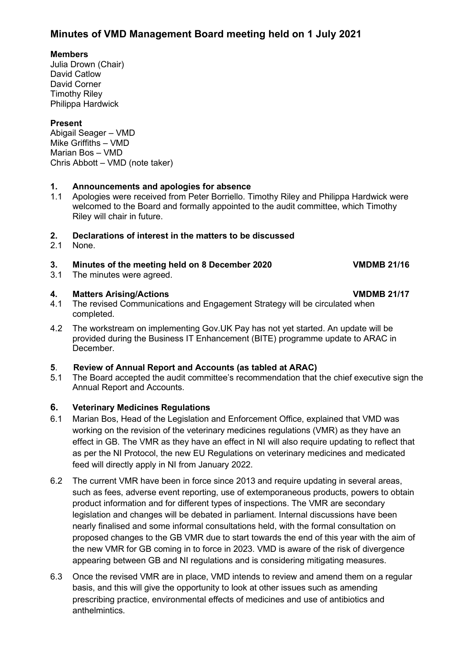#### **Members**

Julia Drown (Chair) David Catlow David Corner Timothy Riley Philippa Hardwick

### **Present**

Abigail Seager – VMD Mike Griffiths – VMD Marian Bos – VMD Chris Abbott – VMD (note taker)

## **1. Announcements and apologies for absence**

1.1 Apologies were received from Peter Borriello. Timothy Riley and Philippa Hardwick were welcomed to the Board and formally appointed to the audit committee, which Timothy Riley will chair in future.

# **2. Declarations of interest in the matters to be discussed**

None.

### **3. Minutes of the meeting held on 8 December 2020 VMDMB 21/16**

3.1 The minutes were agreed.

- **4. Matters Arising/Actions VMDMB 21/17** The revised Communications and Engagement Strategy will be circulated when completed.
- 4.2 The workstream on implementing Gov.UK Pay has not yet started. An update will be provided during the Business IT Enhancement (BITE) programme update to ARAC in December.

## **5**. **Review of Annual Report and Accounts (as tabled at ARAC)**

The Board accepted the audit committee's recommendation that the chief executive sign the Annual Report and Accounts.

### **6. Veterinary Medicines Regulations**

- 6.1 Marian Bos, Head of the Legislation and Enforcement Office, explained that VMD was working on the revision of the veterinary medicines regulations (VMR) as they have an effect in GB. The VMR as they have an effect in NI will also require updating to reflect that as per the NI Protocol, the new EU Regulations on veterinary medicines and medicated feed will directly apply in NI from January 2022.
- 6.2 The current VMR have been in force since 2013 and require updating in several areas, such as fees, adverse event reporting, use of extemporaneous products, powers to obtain product information and for different types of inspections. The VMR are secondary legislation and changes will be debated in parliament. Internal discussions have been nearly finalised and some informal consultations held, with the formal consultation on proposed changes to the GB VMR due to start towards the end of this year with the aim of the new VMR for GB coming in to force in 2023. VMD is aware of the risk of divergence appearing between GB and NI regulations and is considering mitigating measures.
- 6.3 Once the revised VMR are in place, VMD intends to review and amend them on a regular basis, and this will give the opportunity to look at other issues such as amending prescribing practice, environmental effects of medicines and use of antibiotics and anthelmintics.